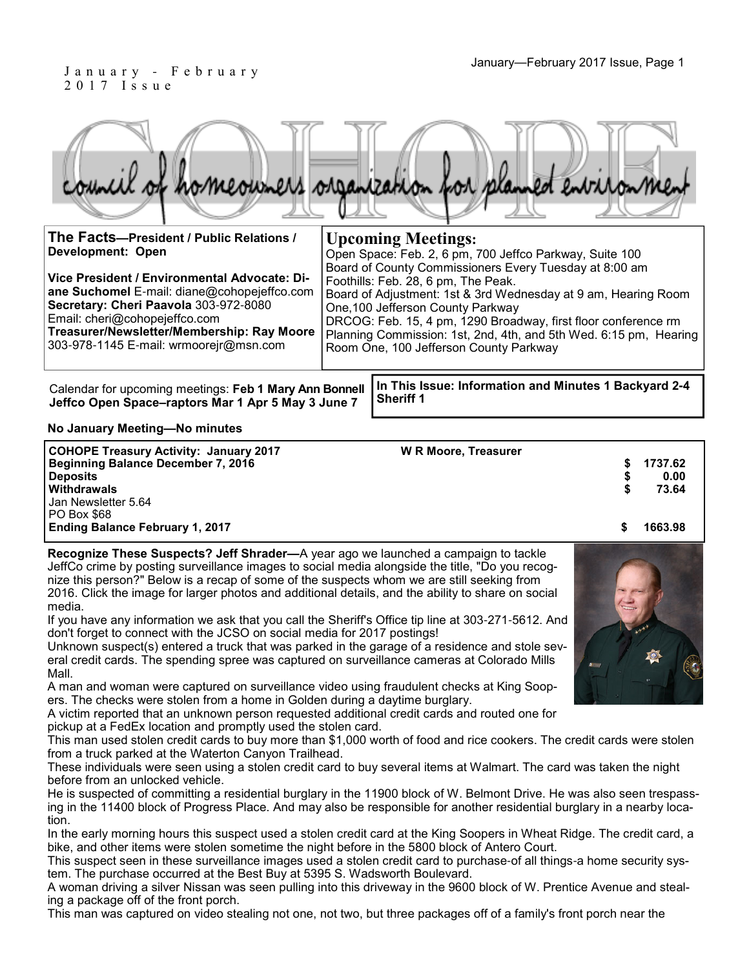#### January—February 2017 Issue, Page 1 J a n u a r y - F e b r u a r y 2 0 1 7 I s s u e

|  |  |  | council of homeowners organization for planned environment |
|--|--|--|------------------------------------------------------------|
|  |  |  |                                                            |

| The Facts-President / Public Relations /<br><b>Development: Open</b>                                                                                                                                                                                          | <b>Upcoming Meetings:</b>                                                                                                                                                                                                                                                                                                                                                                                                                        |  |  |  |  |  |  |
|---------------------------------------------------------------------------------------------------------------------------------------------------------------------------------------------------------------------------------------------------------------|--------------------------------------------------------------------------------------------------------------------------------------------------------------------------------------------------------------------------------------------------------------------------------------------------------------------------------------------------------------------------------------------------------------------------------------------------|--|--|--|--|--|--|
| Vice President / Environmental Advocate: Di-<br>ane Suchomel E-mail: diane@cohopejeffco.com<br>Secretary: Cheri Paavola 303-972-8080<br>Email: cheri@cohopejeffco.com<br>Treasurer/Newsletter/Membership: Ray Moore<br>303-978-1145 E-mail: wrmoorejr@msn.com | Open Space: Feb. 2, 6 pm, 700 Jeffco Parkway, Suite 100<br>Board of County Commissioners Every Tuesday at 8:00 am<br>Foothills: Feb. 28, 6 pm, The Peak.<br>Board of Adjustment: 1st & 3rd Wednesday at 9 am, Hearing Room<br>One, 100 Jefferson County Parkway<br>DRCOG: Feb. 15, 4 pm, 1290 Broadway, first floor conference rm<br>Planning Commission: 1st, 2nd, 4th, and 5th Wed. 6:15 pm, Hearing<br>Room One, 100 Jefferson County Parkway |  |  |  |  |  |  |
|                                                                                                                                                                                                                                                               |                                                                                                                                                                                                                                                                                                                                                                                                                                                  |  |  |  |  |  |  |

**Jeffco Open Space–raptors Mar 1 Apr 5 May 3 June 7**

Calendar for upcoming meetings: Feb 1 Mary Ann Bonnell |In This Issue: Information and Minutes 1 Backyard 2-4 **Sheriff 1** 

**No January Meeting—No minutes**

| <b>COHOPE Treasury Activity: January 2017</b> | <b>W R Moore, Treasurer</b> |         |
|-----------------------------------------------|-----------------------------|---------|
| Beginning Balance December 7, 2016            |                             | 1737.62 |
| <b>Deposits</b>                               |                             | 0.00    |
| <b>Withdrawals</b>                            |                             | 73.64   |
| Jan Newsletter 5.64                           |                             |         |
| PO Box \$68                                   |                             |         |
| <b>Ending Balance February 1, 2017</b>        |                             | 1663.98 |

**Recognize These Suspects? Jeff Shrader—**A year ago we launched a campaign to tackle JeffCo crime by posting surveillance images to social media alongside the title, "Do you recognize this person?" Below is a recap of some of the suspects whom we are still seeking from 2016. Click the image for larger photos and additional details, and the ability to share on social media.

If you have any information we ask that you call the Sheriff's Office tip line at 303-271-5612. And don't forget to connect with the JCSO on social media for 2017 postings!

Unknown suspect(s) entered a truck that was parked in the garage of a residence and stole several credit cards. The spending spree was captured on surveillance cameras at Colorado Mills Mall.

A man and woman were captured on surveillance video using fraudulent checks at King Soopers. The checks were stolen from a home in Golden during a daytime burglary.

A victim reported that an unknown person requested additional credit cards and routed one for pickup at a FedEx location and promptly used the stolen card.

This man used stolen credit cards to buy more than \$1,000 worth of food and rice cookers. The credit cards were stolen from a truck parked at the Waterton Canyon Trailhead.

These individuals were seen using a stolen credit card to buy several items at Walmart. The card was taken the night before from an unlocked vehicle.

He is suspected of committing a residential burglary in the 11900 block of W. Belmont Drive. He was also seen trespassing in the 11400 block of Progress Place. And may also be responsible for another residential burglary in a nearby location.

In the early morning hours this suspect used a stolen credit card at the King Soopers in Wheat Ridge. The credit card, a bike, and other items were stolen sometime the night before in the 5800 block of Antero Court.

This suspect seen in these surveillance images used a stolen credit card to purchase-of all things-a home security system. The purchase occurred at the Best Buy at 5395 S. Wadsworth Boulevard.

A woman driving a silver Nissan was seen pulling into this driveway in the 9600 block of W. Prentice Avenue and stealing a package off of the front porch.

This man was captured on video stealing not one, not two, but three packages off of a family's front porch near the

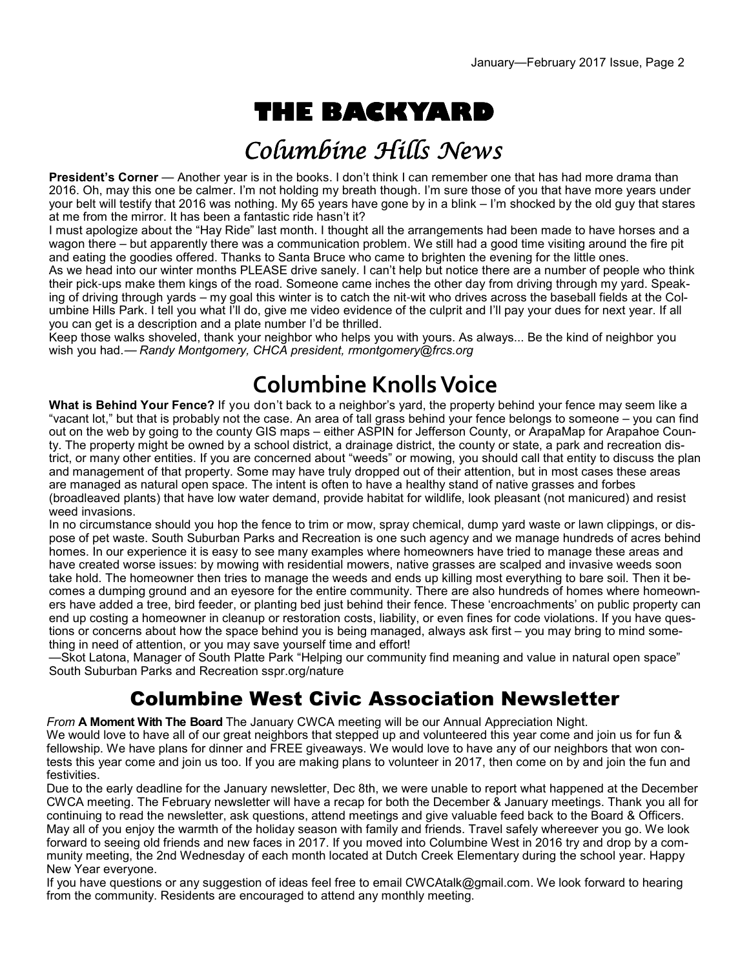# **THE BACKYARD**

# Columbine Hills News

**President's Corner** — Another year is in the books. I don't think I can remember one that has had more drama than 2016. Oh, may this one be calmer. I'm not holding my breath though. I'm sure those of you that have more years under your belt will testify that 2016 was nothing. My 65 years have gone by in a blink – I'm shocked by the old guy that stares at me from the mirror. It has been a fantastic ride hasn't it?

I must apologize about the "Hay Ride" last month. I thought all the arrangements had been made to have horses and a wagon there – but apparently there was a communication problem. We still had a good time visiting around the fire pit and eating the goodies offered. Thanks to Santa Bruce who came to brighten the evening for the little ones.

As we head into our winter months PLEASE drive sanely. I can't help but notice there are a number of people who think their pick-ups make them kings of the road. Someone came inches the other day from driving through my yard. Speaking of driving through yards – my goal this winter is to catch the nit-wit who drives across the baseball fields at the Columbine Hills Park. I tell you what I'll do, give me video evidence of the culprit and I'll pay your dues for next year. If all you can get is a description and a plate number I'd be thrilled.

Keep those walks shoveled, thank your neighbor who helps you with yours. As always... Be the kind of neighbor you wish you had.— *Randy Montgomery, CHCA president, rmontgomery@frcs.org*

# **Columbine Knolls Voice**

**What is Behind Your Fence?** If you don't back to a neighbor's yard, the property behind your fence may seem like a "vacant lot," but that is probably not the case. An area of tall grass behind your fence belongs to someone – you can find out on the web by going to the county GIS maps – either ASPIN for Jefferson County, or ArapaMap for Arapahoe County. The property might be owned by a school district, a drainage district, the county or state, a park and recreation district, or many other entities. If you are concerned about "weeds" or mowing, you should call that entity to discuss the plan and management of that property. Some may have truly dropped out of their attention, but in most cases these areas are managed as natural open space. The intent is often to have a healthy stand of native grasses and forbes (broadleaved plants) that have low water demand, provide habitat for wildlife, look pleasant (not manicured) and resist weed invasions.

In no circumstance should you hop the fence to trim or mow, spray chemical, dump yard waste or lawn clippings, or dispose of pet waste. South Suburban Parks and Recreation is one such agency and we manage hundreds of acres behind homes. In our experience it is easy to see many examples where homeowners have tried to manage these areas and have created worse issues: by mowing with residential mowers, native grasses are scalped and invasive weeds soon take hold. The homeowner then tries to manage the weeds and ends up killing most everything to bare soil. Then it becomes a dumping ground and an eyesore for the entire community. There are also hundreds of homes where homeowners have added a tree, bird feeder, or planting bed just behind their fence. These 'encroachments' on public property can end up costing a homeowner in cleanup or restoration costs, liability, or even fines for code violations. If you have questions or concerns about how the space behind you is being managed, always ask first – you may bring to mind something in need of attention, or you may save yourself time and effort!

—Skot Latona, Manager of South Platte Park "Helping our community find meaning and value in natural open space" South Suburban Parks and Recreation sspr.org/nature

#### Columbine West Civic Association Newsletter

*From* **A Moment With The Board** The January CWCA meeting will be our Annual Appreciation Night. We would love to have all of our great neighbors that stepped up and volunteered this year come and join us for fun & fellowship. We have plans for dinner and FREE giveaways. We would love to have any of our neighbors that won contests this year come and join us too. If you are making plans to volunteer in 2017, then come on by and join the fun and festivities.

Due to the early deadline for the January newsletter, Dec 8th, we were unable to report what happened at the December CWCA meeting. The February newsletter will have a recap for both the December & January meetings. Thank you all for continuing to read the newsletter, ask questions, attend meetings and give valuable feed back to the Board & Officers. May all of you enjoy the warmth of the holiday season with family and friends. Travel safely whereever you go. We look forward to seeing old friends and new faces in 2017. If you moved into Columbine West in 2016 try and drop by a community meeting, the 2nd Wednesday of each month located at Dutch Creek Elementary during the school year. Happy New Year everyone.

If you have questions or any suggestion of ideas feel free to email CWCAtalk@gmail.com. We look forward to hearing from the community. Residents are encouraged to attend any monthly meeting.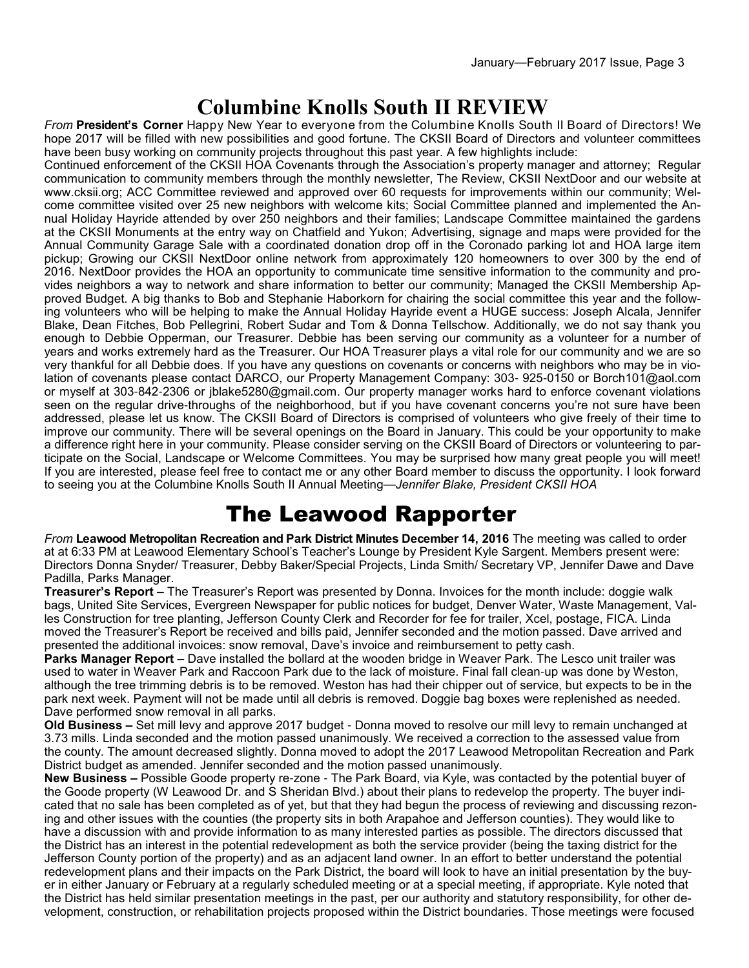### **Columbine Knolls South II REVIEW**

*From* **President's Corner** Happy New Year to everyone from the Columbine Knolls South II Board of Directors! We hope 2017 will be filled with new possibilities and good fortune. The CKSII Board of Directors and volunteer committees have been busy working on community projects throughout this past year. A few highlights include:

Continued enforcement of the CKSII HOA Covenants through the Association's property manager and attorney; Regular communication to community members through the monthly newsletter, The Review, CKSII NextDoor and our website at www.cksii.org; ACC Committee reviewed and approved over 60 requests for improvements within our community; Welcome committee visited over 25 new neighbors with welcome kits; Social Committee planned and implemented the Annual Holiday Hayride attended by over 250 neighbors and their families; Landscape Committee maintained the gardens at the CKSII Monuments at the entry way on Chatfield and Yukon; Advertising, signage and maps were provided for the Annual Community Garage Sale with a coordinated donation drop off in the Coronado parking lot and HOA large item pickup; Growing our CKSII NextDoor online network from approximately 120 homeowners to over 300 by the end of 2016. NextDoor provides the HOA an opportunity to communicate time sensitive information to the community and provides neighbors a way to network and share information to better our community; Managed the CKSII Membership Approved Budget. A big thanks to Bob and Stephanie Haborkorn for chairing the social committee this year and the following volunteers who will be helping to make the Annual Holiday Hayride event a HUGE success: Joseph Alcala, Jennifer Blake, Dean Fitches, Bob Pellegrini, Robert Sudar and Tom & Donna Tellschow. Additionally, we do not say thank you enough to Debbie Opperman, our Treasurer. Debbie has been serving our community as a volunteer for a number of years and works extremely hard as the Treasurer. Our HOA Treasurer plays a vital role for our community and we are so very thankful for all Debbie does. If you have any questions on covenants or concerns with neighbors who may be in violation of covenants please contact DARCO, our Property Management Company: 303- 925-0150 or Borch101@aol.com or myself at 303-842-2306 or jblake5280@gmail.com. Our property manager works hard to enforce covenant violations seen on the regular drive-throughs of the neighborhood, but if you have covenant concerns you're not sure have been addressed, please let us know. The CKSII Board of Directors is comprised of volunteers who give freely of their time to improve our community. There will be several openings on the Board in January. This could be your opportunity to make a difference right here in your community. Please consider serving on the CKSII Board of Directors or volunteering to participate on the Social, Landscape or Welcome Committees. You may be surprised how many great people you will meet! If you are interested, please feel free to contact me or any other Board member to discuss the opportunity. I look forward to seeing you at the Columbine Knolls South II Annual Meeting—*Jennifer Blake, President CKSII HOA*

# The Leawood Rapporter

*From* **Leawood Metropolitan Recreation and Park District Minutes December 14, 2016** The meeting was called to order at at 6:33 PM at Leawood Elementary School's Teacher's Lounge by President Kyle Sargent. Members present were: Directors Donna Snyder/ Treasurer, Debby Baker/Special Projects, Linda Smith/ Secretary VP, Jennifer Dawe and Dave Padilla, Parks Manager.

**Treasurer's Report –** The Treasurer's Report was presented by Donna. Invoices for the month include: doggie walk bags, United Site Services, Evergreen Newspaper for public notices for budget, Denver Water, Waste Management, Valles Construction for tree planting, Jefferson County Clerk and Recorder for fee for trailer, Xcel, postage, FICA. Linda moved the Treasurer's Report be received and bills paid, Jennifer seconded and the motion passed. Dave arrived and presented the additional invoices: snow removal, Dave's invoice and reimbursement to petty cash.

**Parks Manager Report –** Dave installed the bollard at the wooden bridge in Weaver Park. The Lesco unit trailer was used to water in Weaver Park and Raccoon Park due to the lack of moisture. Final fall clean-up was done by Weston, although the tree trimming debris is to be removed. Weston has had their chipper out of service, but expects to be in the park next week. Payment will not be made until all debris is removed. Doggie bag boxes were replenished as needed. Dave performed snow removal in all parks.

**Old Business –** Set mill levy and approve 2017 budget - Donna moved to resolve our mill levy to remain unchanged at 3.73 mills. Linda seconded and the motion passed unanimously. We received a correction to the assessed value from the county. The amount decreased slightly. Donna moved to adopt the 2017 Leawood Metropolitan Recreation and Park District budget as amended. Jennifer seconded and the motion passed unanimously.

**New Business –** Possible Goode property re-zone - The Park Board, via Kyle, was contacted by the potential buyer of the Goode property (W Leawood Dr. and S Sheridan Blvd.) about their plans to redevelop the property. The buyer indicated that no sale has been completed as of yet, but that they had begun the process of reviewing and discussing rezoning and other issues with the counties (the property sits in both Arapahoe and Jefferson counties). They would like to have a discussion with and provide information to as many interested parties as possible. The directors discussed that the District has an interest in the potential redevelopment as both the service provider (being the taxing district for the Jefferson County portion of the property) and as an adjacent land owner. In an effort to better understand the potential redevelopment plans and their impacts on the Park District, the board will look to have an initial presentation by the buyer in either January or February at a regularly scheduled meeting or at a special meeting, if appropriate. Kyle noted that the District has held similar presentation meetings in the past, per our authority and statutory responsibility, for other development, construction, or rehabilitation projects proposed within the District boundaries. Those meetings were focused